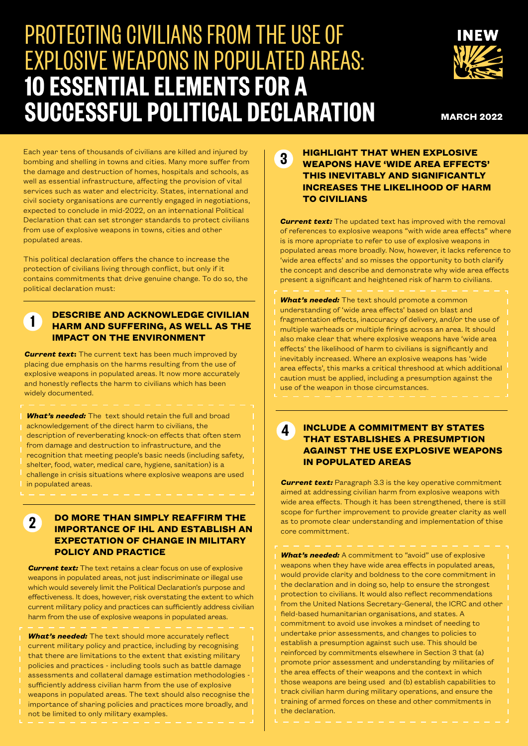# PROTECTING CIVILIANS FROM THE USE OF EXPLOSIVE WEAPONS IN POPULATED AREAS: **10 ESSENTIAL ELEMENTS FOR A SUCCESSFUL POLITICAL DECLARATION**



**MARCH 2022**

Each year tens of thousands of civilians are killed and injured by bombing and shelling in towns and cities. Many more suffer from the damage and destruction of homes, hospitals and schools, as well as essential infrastructure, affecting the provision of vital services such as water and electricity. States, international and civil society organisations are currently engaged in negotiations, expected to conclude in mid-2022, on an international Political Declaration that can set stronger standards to protect civilians from use of explosive weapons in towns, cities and other populated areas.

This political declaration offers the chance to increase the protection of civilians living through conflict, but only if it contains commitments that drive genuine change. To do so, the political declaration must:

### **DESCRIBE AND ACKNOWLEDGE CIVILIAN HARM AND SUFFERING, AS WELL AS THE IMPACT ON THE ENVIRONMENT**

**Current text:** The current text has been much improved by placing due emphasis on the harms resulting from the use of explosive weapons in populated areas. It now more accurately and honestly reflects the harm to civilians which has been widely documented.

**1**

*What's needed:* The text should retain the full and broad acknowledgement of the direct harm to civilians, the description of reverberating knock-on effects that often stem from damage and destruction to infrastructure, and the recognition that meeting people's basic needs (including safety, shelter, food, water, medical care, hygiene, sanitation) is a challenge in crisis situations where explosive weapons are used in populated areas.

#### **DO MORE THAN SIMPLY REAFFIRM THE IMPORTANCE OF IHL AND ESTABLISH AN EXPECTATION OF CHANGE IN MILITARY POLICY AND PRACTICE 2**

*Current text:* The text retains a clear focus on use of explosive weapons in populated areas, not just indiscriminate or illegal use which would severely limit the Political Declaration's purpose and effectiveness. It does, however, risk overstating the extent to which current military policy and practices can sufficiently address civilian harm from the use of explosive weapons in populated areas.

*What's needed:* The text should more accurately reflect current military policy and practice, including by recognising that there are limitations to the extent that existing military policies and practices - including tools such as battle damage assessments and collateral damage estimation methodologies sufficiently address civilian harm from the use of explosive weapons in populated areas. The text should also recognise the importance of sharing policies and practices more broadly, and not be limited to only military examples.

#### **HIGHLIGHT THAT WHEN EXPLOSIVE WEAPONS HAVE 'WIDE AREA EFFECTS' THIS INEVITABLY AND SIGNIFICANTLY INCREASES THE LIKELIHOOD OF HARM TO CIVILIANS 3**

**Current text:** The updated text has improved with the removal of references to explosive weapons "with wide area effects" where is is more apropriate to refer to use of explosive weapons in populated areas more broadly. Now, however, it lacks reference to 'wide area effects' and so misses the opportunity to both clarify the concept and describe and demonstrate why wide area effects present a significant and heightened risk of harm to civilians.

*What's needed:* The text should promote a common understanding of 'wide area effects' based on blast and fragmentation effects, inaccuracy of delivery, and/or the use of multiple warheads or multiple firings across an area. It should also make clear that where explosive weapons have 'wide area effects' the likelihood of harm to civilians is significantly and inevitably increased. Where an explosive weapons has 'wide area effects', this marks a critical threshood at which additional caution must be applied, including a presumption against the use of the weapon in those circumstances.

#### **4 INCLUDE A COMMITMENT BY STATES THAT ESTABLISHES A PRESUMPTION AGAINST THE USE EXPLOSIVE WEAPONS IN POPULATED AREAS**

*Current text:* Paragraph 3.3 is the key operative commitment aimed at addressing civilian harm from explosive weapons with wide area effects. Though it has been strengthened, there is still scope for further improvement to provide greater clarity as well as to promote clear understanding and implementation of thise core committment.

*What's needed:* A commitment to "avoid" use of explosive weapons when they have wide area effects in populated areas, would provide clarity and boldness to the core commitment in the declaration and in doing so, help to ensure the strongest protection to civilians. It would also reflect recommendations from the United Nations Secretary-General, the ICRC and other field-based humanitarian organisations, and states. A commitment to avoid use invokes a mindset of needing to undertake prior assessments, and changes to policies to establish a presumption against such use. This should be reinforced by commitments elsewhere in Section 3 that (a) promote prior assessment and understanding by militaries of the area effects of their weapons and the context in which those weapons are being used and (b) establish capabilities to track civilian harm during military operations, and ensure the training of armed forces on these and other commitments in the declaration.